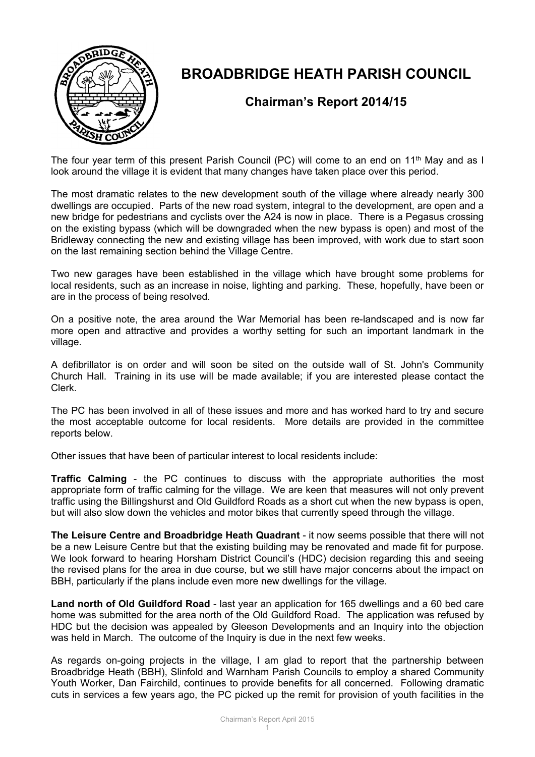

## **BROADBRIDGE HEATH PARISH COUNCIL**

## **Chairman's Report 2014/15**

The four year term of this present Parish Council (PC) will come to an end on 11<sup>th</sup> May and as I look around the village it is evident that many changes have taken place over this period.

The most dramatic relates to the new development south of the village where already nearly 300 dwellings are occupied. Parts of the new road system, integral to the development, are open and a new bridge for pedestrians and cyclists over the A24 is now in place. There is a Pegasus crossing on the existing bypass (which will be downgraded when the new bypass is open) and most of the Bridleway connecting the new and existing village has been improved, with work due to start soon on the last remaining section behind the Village Centre.

Two new garages have been established in the village which have brought some problems for local residents, such as an increase in noise, lighting and parking. These, hopefully, have been or are in the process of being resolved.

On a positive note, the area around the War Memorial has been re-landscaped and is now far more open and attractive and provides a worthy setting for such an important landmark in the village.

A defibrillator is on order and will soon be sited on the outside wall of St. John's Community Church Hall. Training in its use will be made available; if you are interested please contact the Clerk.

The PC has been involved in all of these issues and more and has worked hard to try and secure the most acceptable outcome for local residents. More details are provided in the committee reports below.

Other issues that have been of particular interest to local residents include:

**Traffic Calming** - the PC continues to discuss with the appropriate authorities the most appropriate form of traffic calming for the village. We are keen that measures will not only prevent traffic using the Billingshurst and Old Guildford Roads as a short cut when the new bypass is open, but will also slow down the vehicles and motor bikes that currently speed through the village.

**The Leisure Centre and Broadbridge Heath Quadrant** - it now seems possible that there will not be a new Leisure Centre but that the existing building may be renovated and made fit for purpose. We look forward to hearing Horsham District Council's (HDC) decision regarding this and seeing the revised plans for the area in due course, but we still have major concerns about the impact on BBH, particularly if the plans include even more new dwellings for the village.

**Land north of Old Guildford Road** - last year an application for 165 dwellings and a 60 bed care home was submitted for the area north of the Old Guildford Road. The application was refused by HDC but the decision was appealed by Gleeson Developments and an Inquiry into the objection was held in March. The outcome of the Inquiry is due in the next few weeks.

As regards on-going projects in the village, I am glad to report that the partnership between Broadbridge Heath (BBH), Slinfold and Warnham Parish Councils to employ a shared Community Youth Worker, Dan Fairchild, continues to provide benefits for all concerned. Following dramatic cuts in services a few years ago, the PC picked up the remit for provision of youth facilities in the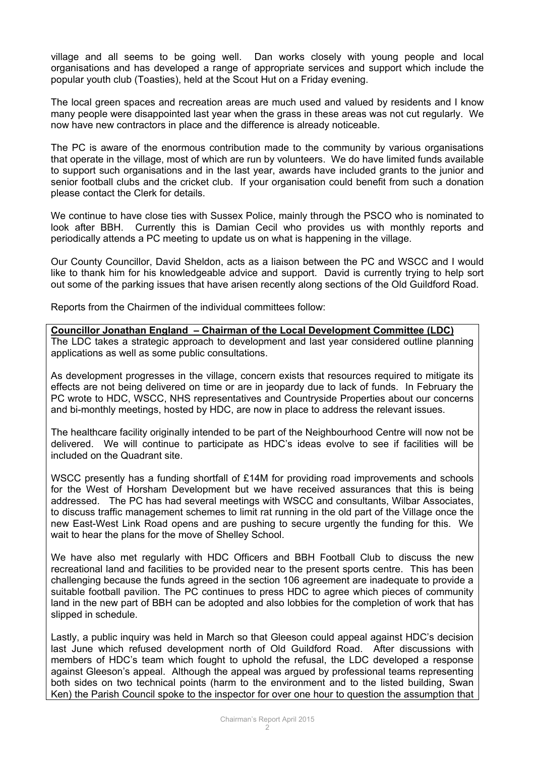village and all seems to be going well. Dan works closely with young people and local organisations and has developed a range of appropriate services and support which include the popular youth club (Toasties), held at the Scout Hut on a Friday evening.

The local green spaces and recreation areas are much used and valued by residents and I know many people were disappointed last year when the grass in these areas was not cut regularly. We now have new contractors in place and the difference is already noticeable.

The PC is aware of the enormous contribution made to the community by various organisations that operate in the village, most of which are run by volunteers. We do have limited funds available to support such organisations and in the last year, awards have included grants to the junior and senior football clubs and the cricket club. If your organisation could benefit from such a donation please contact the Clerk for details.

We continue to have close ties with Sussex Police, mainly through the PSCO who is nominated to look after BBH. Currently this is Damian Cecil who provides us with monthly reports and periodically attends a PC meeting to update us on what is happening in the village.

Our County Councillor, David Sheldon, acts as a liaison between the PC and WSCC and I would like to thank him for his knowledgeable advice and support. David is currently trying to help sort out some of the parking issues that have arisen recently along sections of the Old Guildford Road.

Reports from the Chairmen of the individual committees follow:

**Councillor Jonathan England – Chairman of the Local Development Committee (LDC)** The LDC takes a strategic approach to development and last year considered outline planning applications as well as some public consultations.

As development progresses in the village, concern exists that resources required to mitigate its effects are not being delivered on time or are in jeopardy due to lack of funds. In February the PC wrote to HDC, WSCC, NHS representatives and Countryside Properties about our concerns and bi-monthly meetings, hosted by HDC, are now in place to address the relevant issues.

The healthcare facility originally intended to be part of the Neighbourhood Centre will now not be delivered. We will continue to participate as HDC's ideas evolve to see if facilities will be included on the Quadrant site.

WSCC presently has a funding shortfall of £14M for providing road improvements and schools for the West of Horsham Development but we have received assurances that this is being addressed. The PC has had several meetings with WSCC and consultants, Wilbar Associates, to discuss traffic management schemes to limit rat running in the old part of the Village once the new East-West Link Road opens and are pushing to secure urgently the funding for this. We wait to hear the plans for the move of Shelley School.

We have also met regularly with HDC Officers and BBH Football Club to discuss the new recreational land and facilities to be provided near to the present sports centre. This has been challenging because the funds agreed in the section 106 agreement are inadequate to provide a suitable football pavilion. The PC continues to press HDC to agree which pieces of community land in the new part of BBH can be adopted and also lobbies for the completion of work that has slipped in schedule.

Lastly, a public inquiry was held in March so that Gleeson could appeal against HDC's decision last June which refused development north of Old Guildford Road. After discussions with members of HDC's team which fought to uphold the refusal, the LDC developed a response against Gleeson's appeal. Although the appeal was argued by professional teams representing both sides on two technical points (harm to the environment and to the listed building, Swan Ken) the Parish Council spoke to the inspector for over one hour to question the assumption that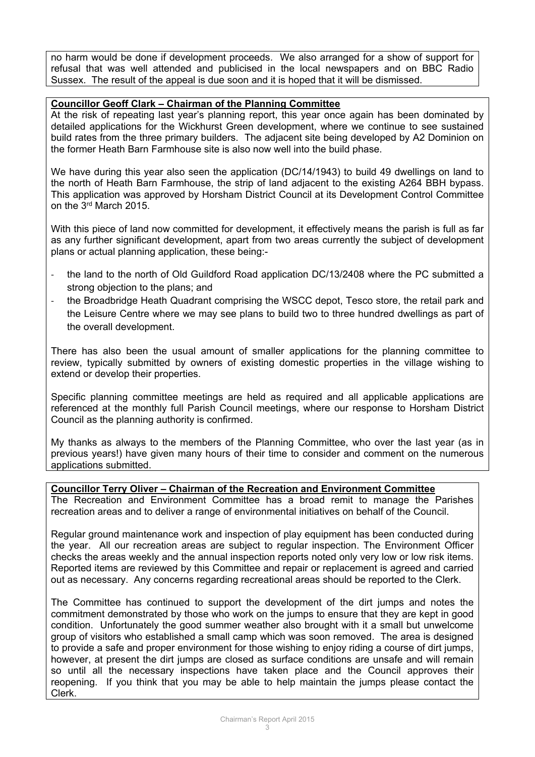no harm would be done if development proceeds. We also arranged for a show of support for refusal that was well attended and publicised in the local newspapers and on BBC Radio Sussex. The result of the appeal is due soon and it is hoped that it will be dismissed.

## **Councillor Geoff Clark – Chairman of the Planning Committee**

At the risk of repeating last year's planning report, this year once again has been dominated by detailed applications for the Wickhurst Green development, where we continue to see sustained build rates from the three primary builders. The adjacent site being developed by A2 Dominion on the former Heath Barn Farmhouse site is also now well into the build phase.

We have during this year also seen the application (DC/14/1943) to build 49 dwellings on land to the north of Heath Barn Farmhouse, the strip of land adjacent to the existing A264 BBH bypass. This application was approved by Horsham District Council at its Development Control Committee on the 3rd March 2015.

With this piece of land now committed for development, it effectively means the parish is full as far as any further significant development, apart from two areas currently the subject of development plans or actual planning application, these being:-

- the land to the north of Old Guildford Road application DC/13/2408 where the PC submitted a strong objection to the plans; and
- the Broadbridge Heath Quadrant comprising the WSCC depot, Tesco store, the retail park and the Leisure Centre where we may see plans to build two to three hundred dwellings as part of the overall development.

There has also been the usual amount of smaller applications for the planning committee to review, typically submitted by owners of existing domestic properties in the village wishing to extend or develop their properties.

Specific planning committee meetings are held as required and all applicable applications are referenced at the monthly full Parish Council meetings, where our response to Horsham District Council as the planning authority is confirmed.

My thanks as always to the members of the Planning Committee, who over the last year (as in previous years!) have given many hours of their time to consider and comment on the numerous applications submitted.

**Councillor Terry Oliver – Chairman of the Recreation and Environment Committee** The Recreation and Environment Committee has a broad remit to manage the Parishes recreation areas and to deliver a range of environmental initiatives on behalf of the Council.

Regular ground maintenance work and inspection of play equipment has been conducted during the year. All our recreation areas are subject to regular inspection. The Environment Officer checks the areas weekly and the annual inspection reports noted only very low or low risk items. Reported items are reviewed by this Committee and repair or replacement is agreed and carried out as necessary. Any concerns regarding recreational areas should be reported to the Clerk.

The Committee has continued to support the development of the dirt jumps and notes the commitment demonstrated by those who work on the jumps to ensure that they are kept in good condition. Unfortunately the good summer weather also brought with it a small but unwelcome group of visitors who established a small camp which was soon removed. The area is designed to provide a safe and proper environment for those wishing to enjoy riding a course of dirt jumps, however, at present the dirt jumps are closed as surface conditions are unsafe and will remain so until all the necessary inspections have taken place and the Council approves their reopening. If you think that you may be able to help maintain the jumps please contact the Clerk.